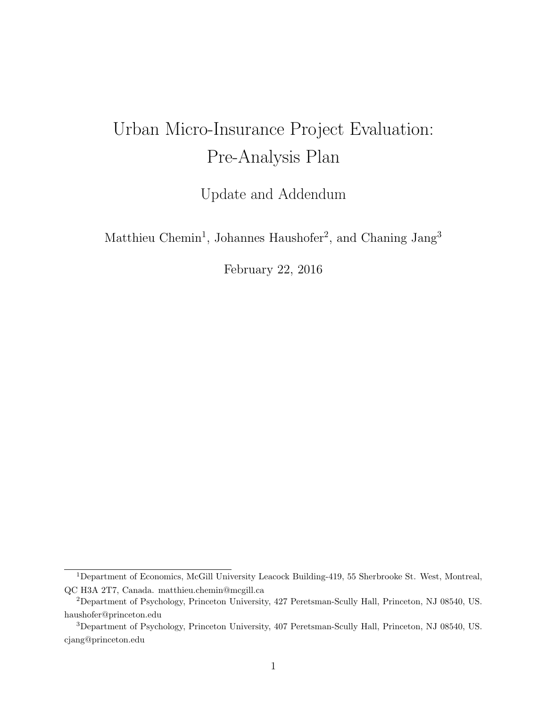## Urban Micro-Insurance Project Evaluation: Pre-Analysis Plan

Update and Addendum

Matthieu Chemin<sup>1</sup>, Johannes Haushofer<sup>2</sup>, and Chaning Jang<sup>3</sup>

February 22, 2016

<sup>&</sup>lt;sup>1</sup>Department of Economics, McGill University Leacock Building-419, 55 Sherbrooke St. West, Montreal, QC H3A 2T7, Canada. matthieu.chemin@mcgill.ca

<sup>2</sup>Department of Psychology, Princeton University, 427 Peretsman-Scully Hall, Princeton, NJ 08540, US. haushofer@princeton.edu

<sup>3</sup>Department of Psychology, Princeton University, 407 Peretsman-Scully Hall, Princeton, NJ 08540, US. cjang@princeton.edu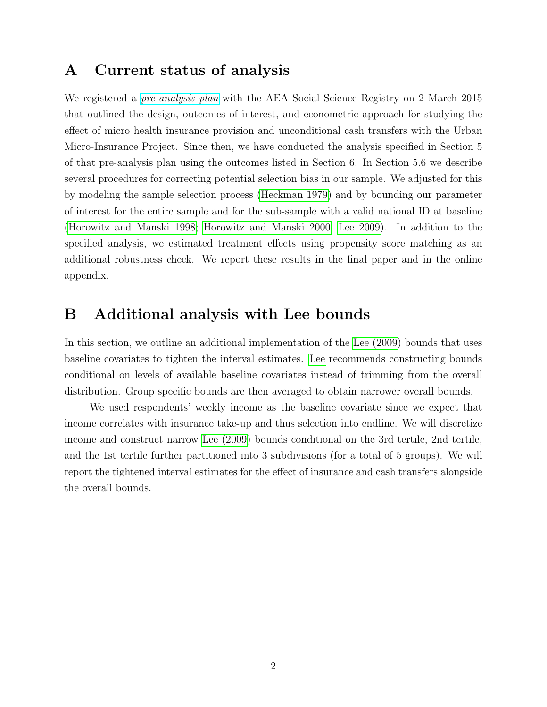## A Current status of analysis

We registered a *[pre-analysis plan](https://www.socialscienceregistry.org/trials/647)* with the AEA Social Science Registry on 2 March 2015 that outlined the design, outcomes of interest, and econometric approach for studying the effect of micro health insurance provision and unconditional cash transfers with the Urban Micro-Insurance Project. Since then, we have conducted the analysis specified in Section 5 of that pre-analysis plan using the outcomes listed in Section 6. In Section 5.6 we describe several procedures for correcting potential selection bias in our sample. We adjusted for this by modeling the sample selection process [\(Heckman 1979\)](#page-2-0) and by bounding our parameter of interest for the entire sample and for the sub-sample with a valid national ID at baseline [\(Horowitz and Manski 1998;](#page-2-1) [Horowitz and Manski 2000;](#page-2-2) [Lee 2009\)](#page-2-3). In addition to the specified analysis, we estimated treatment effects using propensity score matching as an additional robustness check. We report these results in the final paper and in the online appendix.

## B Additional analysis with Lee bounds

In this section, we outline an additional implementation of the [Lee \(2009\)](#page-2-3) bounds that uses baseline covariates to tighten the interval estimates. [Lee](#page-2-3) recommends constructing bounds conditional on levels of available baseline covariates instead of trimming from the overall distribution. Group specific bounds are then averaged to obtain narrower overall bounds.

We used respondents' weekly income as the baseline covariate since we expect that income correlates with insurance take-up and thus selection into endline. We will discretize income and construct narrow [Lee \(2009\)](#page-2-3) bounds conditional on the 3rd tertile, 2nd tertile, and the 1st tertile further partitioned into 3 subdivisions (for a total of 5 groups). We will report the tightened interval estimates for the effect of insurance and cash transfers alongside the overall bounds.